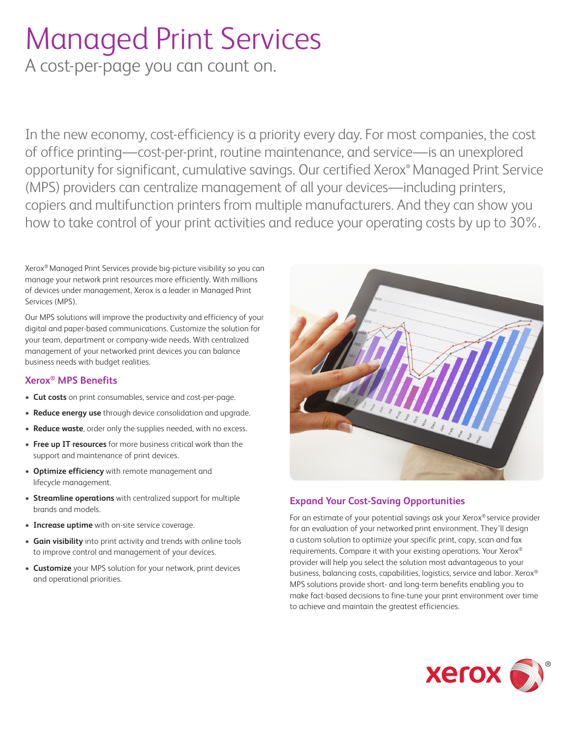# Managed Print Services

A cost-per-page you can count on.

In the new economy, cost-efficiency is a priority every day. For most companies, the cost of office printing—cost-per-print, routine maintenance, and service—is an unexplored opportunity for significant, cumulative savings. Our certified Xerox**®** Managed Print Service (MPS) providers can centralize management of all your devices—including printers, copiers and multifunction printers from multiple manufacturers. And they can show you how to take control of your print activities and reduce your operating costs by up to 30%.

Xerox® Managed Print Services provide big-picture visibility so you can manage your network print resources more efficiently. With millions of devices under management, Xerox is a leader in Managed Print Services (MPS).

Our MPS solutions will improve the productivity and efficiency of your digital and paper-based communications. Customize the solution for your team, department or company-wide needs. With centralized management of your networked print devices you can balance business needs with budget realities.

#### **Xerox® MPS Benefits**

- **Cut costs** on print consumables, service and cost-per-page.
- **Reduce energy use** through device consolidation and upgrade.
- **Reduce waste**, order only the supplies needed, with no excess.
- **Free up IT resources** for more business critical work than the support and maintenance of print devices.
- **Optimize efficiency** with remote management and lifecycle management.
- **Streamline operations** with centralized support for multiple brands and models.
- **Increase uptime** with on-site service coverage.
- **Gain visibility** into print activity and trends with online tools to improve control and management of your devices.
- **Customize** your MPS solution for your network, print devices and operational priorities.



## **Expand Your Cost-Saving Opportunities**

For an estimate of your potential savings ask your Xerox® service provider for an evaluation of your networked print environment. They'll design a custom solution to optimize your specific print, copy, scan and fax requirements. Compare it with your existing operations. Your Xerox® provider will help you select the solution most advantageous to your business, balancing costs, capabilities, logistics, service and labor. Xerox® MPS solutions provide short- and long-term benefits enabling you to make fact-based decisions to fine-tune your print environment over time to achieve and maintain the greatest efficiencies.